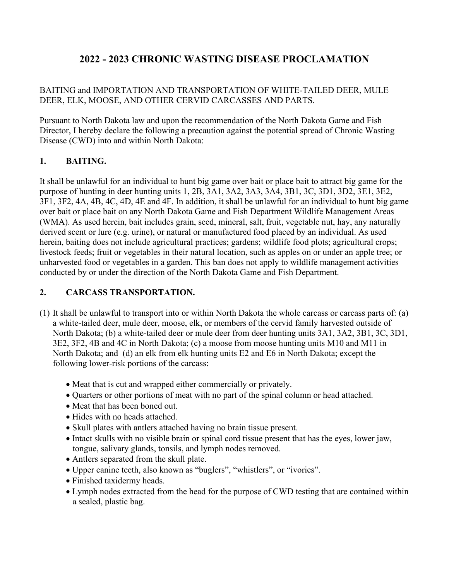# **2022 - 2023 CHRONIC WASTING DISEASE PROCLAMATION**

# BAITING and IMPORTATION AND TRANSPORTATION OF WHITE-TAILED DEER, MULE DEER, ELK, MOOSE, AND OTHER CERVID CARCASSES AND PARTS.

Pursuant to North Dakota law and upon the recommendation of the North Dakota Game and Fish Director, I hereby declare the following a precaution against the potential spread of Chronic Wasting Disease (CWD) into and within North Dakota:

### **1. BAITING.**

It shall be unlawful for an individual to hunt big game over bait or place bait to attract big game for the purpose of hunting in deer hunting units 1, 2B, 3A1, 3A2, 3A3, 3A4, 3B1, 3C, 3D1, 3D2, 3E1, 3E2, 3F1, 3F2, 4A, 4B, 4C, 4D, 4E and 4F. In addition, it shall be unlawful for an individual to hunt big game over bait or place bait on any North Dakota Game and Fish Department Wildlife Management Areas (WMA). As used herein, bait includes grain, seed, mineral, salt, fruit, vegetable nut, hay, any naturally derived scent or lure (e.g. urine), or natural or manufactured food placed by an individual. As used herein, baiting does not include agricultural practices; gardens; wildlife food plots; agricultural crops; livestock feeds; fruit or vegetables in their natural location, such as apples on or under an apple tree; or unharvested food or vegetables in a garden. This ban does not apply to wildlife management activities conducted by or under the direction of the North Dakota Game and Fish Department.

## **2. CARCASS TRANSPORTATION.**

- (1) It shall be unlawful to transport into or within North Dakota the whole carcass or carcass parts of: (a) a white-tailed deer, mule deer, moose, elk, or members of the cervid family harvested outside of North Dakota; (b) a white-tailed deer or mule deer from deer hunting units 3A1, 3A2, 3B1, 3C, 3D1, 3E2, 3F2, 4B and 4C in North Dakota; (c) a moose from moose hunting units M10 and M11 in North Dakota; and (d) an elk from elk hunting units E2 and E6 in North Dakota; except the following lower-risk portions of the carcass:
	- Meat that is cut and wrapped either commercially or privately.
	- Quarters or other portions of meat with no part of the spinal column or head attached.
	- Meat that has been boned out.
	- Hides with no heads attached.
	- Skull plates with antlers attached having no brain tissue present.
	- Intact skulls with no visible brain or spinal cord tissue present that has the eyes, lower jaw, tongue, salivary glands, tonsils, and lymph nodes removed.
	- Antlers separated from the skull plate.
	- Upper canine teeth, also known as "buglers", "whistlers", or "ivories".
	- Finished taxidermy heads.
	- Lymph nodes extracted from the head for the purpose of CWD testing that are contained within a sealed, plastic bag.